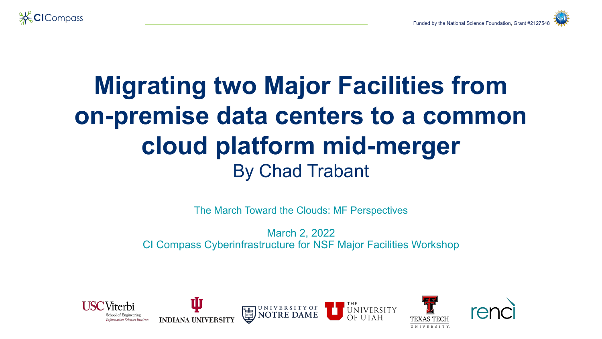

### **Migrating two Major Facilities from on-premise data centers to a common cloud platform mid-merger** By Chad Trabant

The March Toward the Clouds: MF Perspectives

March 2, 2022 CI Compass Cyberinfrastructure for NSF Major Facilities Workshop

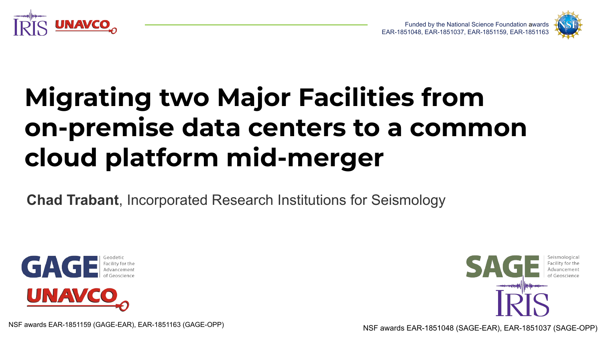



# **Migrating two Major Facilities from on-premise data centers to a common cloud platform mid-merger**

**Chad Trabant**, Incorporated Research Institutions for Seismology





NSF awards EAR-1851159 (GAGE-EAR), EAR-1851163 (GAGE-OPP) NSF awards EAR-1851048 (SAGE-EAR), EAR-1851037 (SAGE-OPP)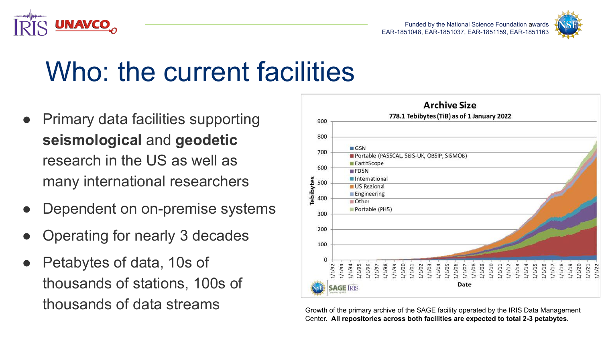



# Who: the current facilities

- **Primary data facilities supporting seismological** and **geodetic** research in the US as well as many international researchers
- Dependent on on-premise systems
- Operating for nearly 3 decades
- Petabytes of data, 10s of thousands of stations, 100s of thousands of data streams<br>Growth of the primary archive of the SAGE facility operated by the IRIS Data Management



Center. **All repositories across both facilities are expected to total 2-3 petabytes.**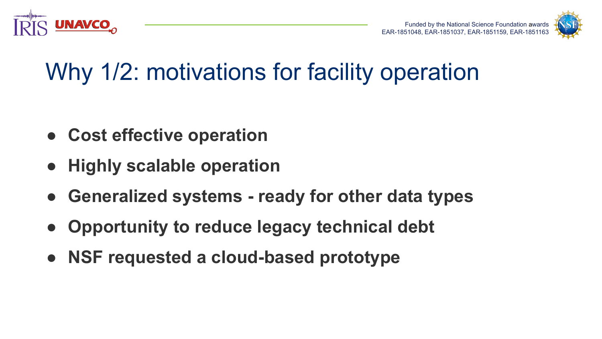



## Why 1/2: motivations for facility operation

- **● Cost effective operation**
- **● Highly scalable operation**
- **● Generalized systems ready for other data types**
- **Opportunity to reduce legacy technical debt**
- **● NSF requested a cloud-based prototype**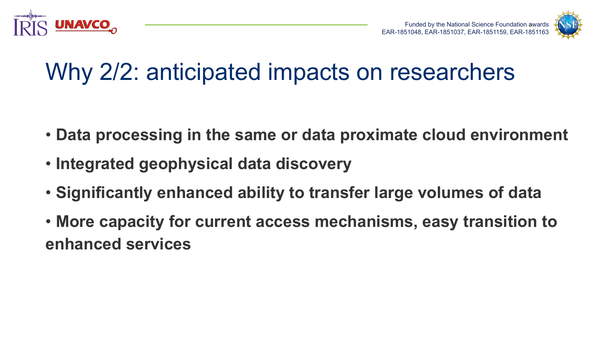



## Why 2/2: anticipated impacts on researchers

- **Data processing in the same or data proximate cloud environment**
- **Integrated geophysical data discovery**
- **Significantly enhanced ability to transfer large volumes of data**
- **More capacity for current access mechanisms, easy transition to enhanced services**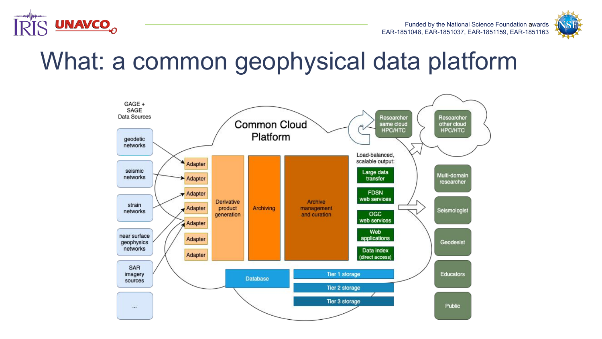



#### What: a common geophysical data platform